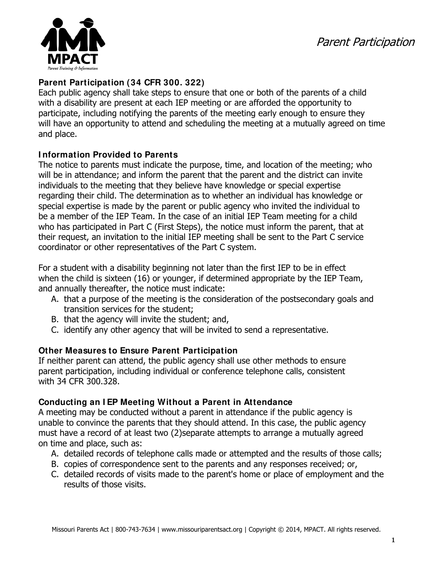Parent Participation



### **Parent Participation (34 CFR 300. 322)**

Each public agency shall take steps to ensure that one or both of the parents of a child with a disability are present at each IEP meeting or are afforded the opportunity to participate, including notifying the parents of the meeting early enough to ensure they will have an opportunity to attend and scheduling the meeting at a mutually agreed on time and place.

# **I nformation Provided to Parents**

The notice to parents must indicate the purpose, time, and location of the meeting; who will be in attendance; and inform the parent that the parent and the district can invite individuals to the meeting that they believe have knowledge or special expertise regarding their child. The determination as to whether an individual has knowledge or special expertise is made by the parent or public agency who invited the individual to be a member of the IEP Team. In the case of an initial IEP Team meeting for a child who has participated in Part C (First Steps), the notice must inform the parent, that at their request, an invitation to the initial IEP meeting shall be sent to the Part C service coordinator or other representatives of the Part C system.

For a student with a disability beginning not later than the first IEP to be in effect when the child is sixteen (16) or younger, if determined appropriate by the IEP Team, and annually thereafter, the notice must indicate:

- A. that a purpose of the meeting is the consideration of the postsecondary goals and transition services for the student;
- B. that the agency will invite the student; and,
- C. identify any other agency that will be invited to send a representative.

# **Other Measures to Ensure Parent Participation**

If neither parent can attend, the public agency shall use other methods to ensure parent participation, including individual or conference telephone calls, consistent with 34 CFR 300.328.

# **Conducting an I EP Meeting Without a Parent in Attendance**

A meeting may be conducted without a parent in attendance if the public agency is unable to convince the parents that they should attend. In this case, the public agency must have a record of at least two (2)separate attempts to arrange a mutually agreed on time and place, such as:

- A. detailed records of telephone calls made or attempted and the results of those calls;
- B. copies of correspondence sent to the parents and any responses received; or,
- C. detailed records of visits made to the parent's home or place of employment and the results of those visits.